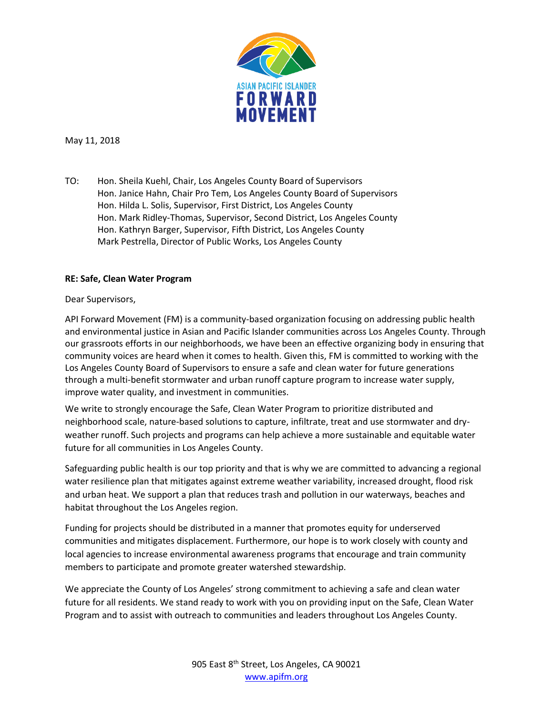

May 11, 2018

TO: Hon. Sheila Kuehl, Chair, Los Angeles County Board of Supervisors Hon. Janice Hahn, Chair Pro Tem, Los Angeles County Board of Supervisors Hon. Hilda L. Solis, Supervisor, First District, Los Angeles County Hon. Mark Ridley-Thomas, Supervisor, Second District, Los Angeles County Hon. Kathryn Barger, Supervisor, Fifth District, Los Angeles County Mark Pestrella, Director of Public Works, Los Angeles County

## **RE: Safe, Clean Water Program**

## Dear Supervisors,

API Forward Movement (FM) is a community-based organization focusing on addressing public health and environmental justice in Asian and Pacific Islander communities across Los Angeles County. Through our grassroots efforts in our neighborhoods, we have been an effective organizing body in ensuring that community voices are heard when it comes to health. Given this, FM is committed to working with the Los Angeles County Board of Supervisors to ensure a safe and clean water for future generations through a multi-benefit stormwater and urban runoff capture program to increase water supply, improve water quality, and investment in communities.

We write to strongly encourage the Safe, Clean Water Program to prioritize distributed and neighborhood scale, nature-based solutions to capture, infiltrate, treat and use stormwater and dryweather runoff. Such projects and programs can help achieve a more sustainable and equitable water future for all communities in Los Angeles County.

Safeguarding public health is our top priority and that is why we are committed to advancing a regional water resilience plan that mitigates against extreme weather variability, increased drought, flood risk and urban heat. We support a plan that reduces trash and pollution in our waterways, beaches and habitat throughout the Los Angeles region.

Funding for projects should be distributed in a manner that promotes equity for underserved communities and mitigates displacement. Furthermore, our hope is to work closely with county and local agencies to increase environmental awareness programs that encourage and train community members to participate and promote greater watershed stewardship.

We appreciate the County of Los Angeles' strong commitment to achieving a safe and clean water future for all residents. We stand ready to work with you on providing input on the Safe, Clean Water Program and to assist with outreach to communities and leaders throughout Los Angeles County.